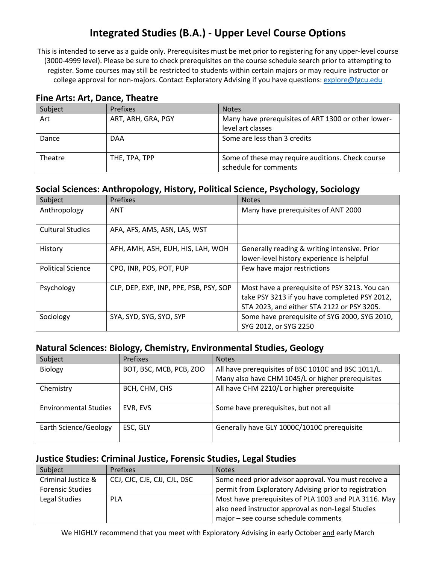# **Integrated Studies (B.A.) - Upper Level Course Options**

This is intended to serve as a guide only. Prerequisites must be met prior to registering for any upper-level course (3000-4999 level). Please be sure to check prerequisites on the course schedule search prior to attempting to register. Some courses may still be restricted to students within certain majors or may require instructor or college approval for non-majors. Contact Exploratory Advising if you have questions[: explore@fgcu.edu](mailto:explore@fgcu.edu)

#### **Fine Arts: Art, Dance, Theatre**

| Subject | <b>Prefixes</b>    | <b>Notes</b>                                                               |
|---------|--------------------|----------------------------------------------------------------------------|
| Art     | ART, ARH, GRA, PGY | Many have prerequisites of ART 1300 or other lower-<br>level art classes   |
| Dance   | <b>DAA</b>         | Some are less than 3 credits                                               |
| Theatre | THE, TPA, TPP      | Some of these may require auditions. Check course<br>schedule for comments |

## **Social Sciences: Anthropology, History, Political Science, Psychology, Sociology**

| Subject                  | <b>Prefixes</b>                        | <b>Notes</b>                                                                                                                                 |
|--------------------------|----------------------------------------|----------------------------------------------------------------------------------------------------------------------------------------------|
| Anthropology             | ANT                                    | Many have prerequisites of ANT 2000                                                                                                          |
| <b>Cultural Studies</b>  | AFA, AFS, AMS, ASN, LAS, WST           |                                                                                                                                              |
| History                  | AFH, AMH, ASH, EUH, HIS, LAH, WOH      | Generally reading & writing intensive. Prior<br>lower-level history experience is helpful                                                    |
| <b>Political Science</b> | CPO, INR, POS, POT, PUP                | Few have major restrictions                                                                                                                  |
| Psychology               | CLP, DEP, EXP, INP, PPE, PSB, PSY, SOP | Most have a prerequisite of PSY 3213. You can<br>take PSY 3213 if you have completed PSY 2012,<br>STA 2023, and either STA 2122 or PSY 3205. |
| Sociology                | SYA, SYD, SYG, SYO, SYP                | Some have prerequisite of SYG 2000, SYG 2010,<br>SYG 2012, or SYG 2250                                                                       |

#### **Natural Sciences: Biology, Chemistry, Environmental Studies, Geology**

| Subject                      | <b>Prefixes</b>         | <b>Notes</b>                                        |
|------------------------------|-------------------------|-----------------------------------------------------|
| <b>Biology</b>               | BOT, BSC, MCB, PCB, ZOO | All have prerequisites of BSC 1010C and BSC 1011/L. |
|                              |                         | Many also have CHM 1045/L or higher prerequisites   |
| Chemistry                    | BCH, CHM, CHS           | All have CHM 2210/L or higher prerequisite          |
| <b>Environmental Studies</b> | EVR, EVS                | Some have prerequisites, but not all                |
| Earth Science/Geology        | ESC, GLY                | Generally have GLY 1000C/1010C prerequisite         |

## **Justice Studies: Criminal Justice, Forensic Studies, Legal Studies**

| Subject                 | <b>Prefixes</b>              | <b>Notes</b>                                           |
|-------------------------|------------------------------|--------------------------------------------------------|
| Criminal Justice &      | CCJ, CJC, CJE, CJJ, CJL, DSC | Some need prior advisor approval. You must receive a   |
| <b>Forensic Studies</b> |                              | permit from Exploratory Advising prior to registration |
| Legal Studies           | <b>PLA</b>                   | Most have prerequisites of PLA 1003 and PLA 3116. May  |
|                         |                              | also need instructor approval as non-Legal Studies     |
|                         |                              | major - see course schedule comments                   |